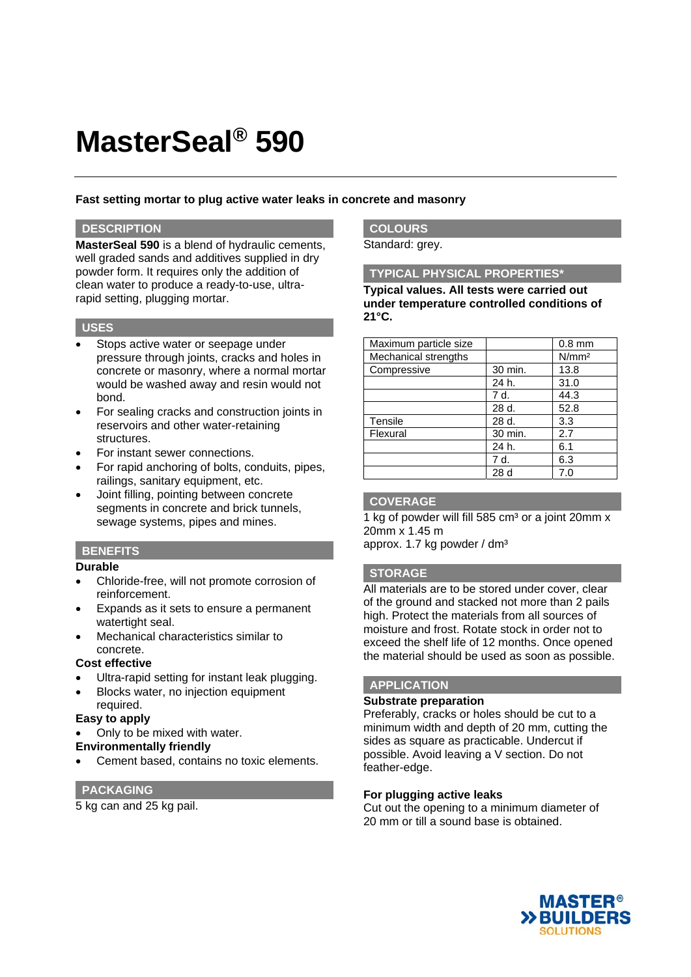# **MasterSeal® 590**

# **Fast setting mortar to plug active water leaks in concrete and masonry**

#### **DESCRIPTION**

**MasterSeal 590** is a blend of hydraulic cements, well graded sands and additives supplied in dry powder form. It requires only the addition of clean water to produce a ready-to-use, ultrarapid setting, plugging mortar.

## **USES**

- Stops active water or seepage under pressure through joints, cracks and holes in concrete or masonry, where a normal mortar would be washed away and resin would not bond.
- For sealing cracks and construction joints in reservoirs and other water-retaining **structures**
- For instant sewer connections.
- For rapid anchoring of bolts, conduits, pipes, railings, sanitary equipment, etc.
- Joint filling, pointing between concrete segments in concrete and brick tunnels. sewage systems, pipes and mines.

# **BENEFITS**

### **Durable**

- Chloride-free, will not promote corrosion of reinforcement.
- Expands as it sets to ensure a permanent watertight seal.
- Mechanical characteristics similar to concrete.

# **Cost effective**

- Ultra-rapid setting for instant leak plugging.
- Blocks water, no injection equipment required.

# **Easy to apply**

Only to be mixed with water.

# **Environmentally friendly**

Cement based, contains no toxic elements.

# **PACKAGING**

5 kg can and 25 kg pail.

# **COLOURS**

Standard: grey.

# **TYPICAL PHYSICAL PROPERTIES\***

**Typical values. All tests were carried out under temperature controlled conditions of 21°C.** 

| Maximum particle size |         | $0.8$ mm          |
|-----------------------|---------|-------------------|
| Mechanical strengths  |         | N/mm <sup>2</sup> |
| Compressive           | 30 min. | 13.8              |
|                       | 24 h.   | 31.0              |
|                       | 7 d.    | 44.3              |
|                       | 28 d.   | 52.8              |
| Tensile               | 28 d.   | 3.3               |
| Flexural              | 30 min. | 2.7               |
|                       | 24 h.   | 6.1               |
|                       | 7 d.    | 6.3               |
|                       | 28d     | 7.0               |

# **COVERAGE**

1 kg of powder will fill 585  $cm<sup>3</sup>$  or a joint 20mm x 20mm x 1.45 m approx. 1.7 kg powder / dm<sup>3</sup>

# **STORAGE**

All materials are to be stored under cover, clear of the ground and stacked not more than 2 pails high. Protect the materials from all sources of moisture and frost. Rotate stock in order not to exceed the shelf life of 12 months. Once opened the material should be used as soon as possible.

# **APPLICATION**

#### **Substrate preparation**

Preferably, cracks or holes should be cut to a minimum width and depth of 20 mm, cutting the sides as square as practicable. Undercut if possible. Avoid leaving a V section. Do not feather-edge.

# **For plugging active leaks**

Cut out the opening to a minimum diameter of 20 mm or till a sound base is obtained.

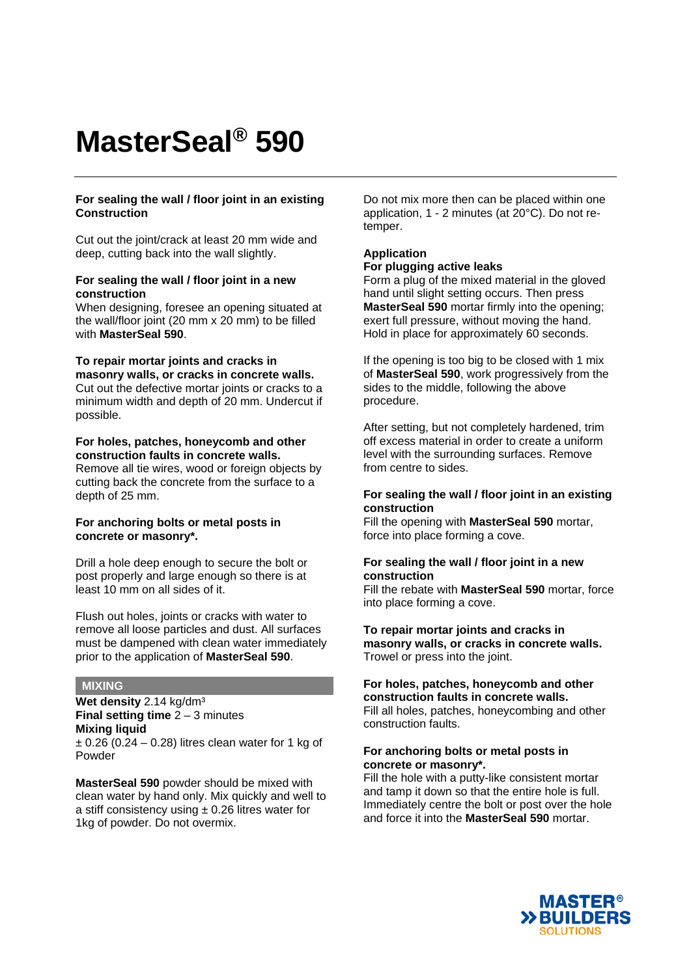# **MasterSeal® 590**

# **For sealing the wall / floor joint in an existing Construction**

Cut out the joint/crack at least 20 mm wide and deep, cutting back into the wall slightly.

#### **For sealing the wall / floor joint in a new construction**

When designing, foresee an opening situated at the wall/floor joint (20 mm x 20 mm) to be filled with **MasterSeal 590**.

#### **To repair mortar joints and cracks in masonry walls, or cracks in concrete walls.**

Cut out the defective mortar joints or cracks to a minimum width and depth of 20 mm. Undercut if possible.

## **For holes, patches, honeycomb and other construction faults in concrete walls.**

Remove all tie wires, wood or foreign objects by cutting back the concrete from the surface to a depth of 25 mm.

## **For anchoring bolts or metal posts in concrete or masonry\*.**

Drill a hole deep enough to secure the bolt or post properly and large enough so there is at least 10 mm on all sides of it.

Flush out holes, joints or cracks with water to remove all loose particles and dust. All surfaces must be dampened with clean water immediately prior to the application of **MasterSeal 590**.

#### **MIXING**

Wet density 2.14 kg/dm<sup>3</sup> **Final setting time** 2 – 3 minutes **Mixing liquid**   $\pm$  0.26 (0.24 – 0.28) litres clean water for 1 kg of Powder

**MasterSeal 590** powder should be mixed with clean water by hand only. Mix quickly and well to a stiff consistency using  $\pm$  0.26 litres water for 1kg of powder. Do not overmix.

Do not mix more then can be placed within one application, 1 - 2 minutes (at 20°C). Do not retemper.

#### **Application For plugging active leaks**

Form a plug of the mixed material in the gloved hand until slight setting occurs. Then press **MasterSeal 590** mortar firmly into the opening; exert full pressure, without moving the hand. Hold in place for approximately 60 seconds.

If the opening is too big to be closed with 1 mix of **MasterSeal 590**, work progressively from the sides to the middle, following the above procedure.

After setting, but not completely hardened, trim off excess material in order to create a uniform level with the surrounding surfaces. Remove from centre to sides.

## **For sealing the wall / floor joint in an existing construction**

Fill the opening with **MasterSeal 590** mortar, force into place forming a cove.

## **For sealing the wall / floor joint in a new construction**

Fill the rebate with **MasterSeal 590** mortar, force into place forming a cove.

**To repair mortar joints and cracks in masonry walls, or cracks in concrete walls.**  Trowel or press into the joint.

#### **For holes, patches, honeycomb and other construction faults in concrete walls.**

Fill all holes, patches, honeycombing and other construction faults.

## **For anchoring bolts or metal posts in concrete or masonry\*.**

Fill the hole with a putty-like consistent mortar and tamp it down so that the entire hole is full. Immediately centre the bolt or post over the hole and force it into the **MasterSeal 590** mortar.